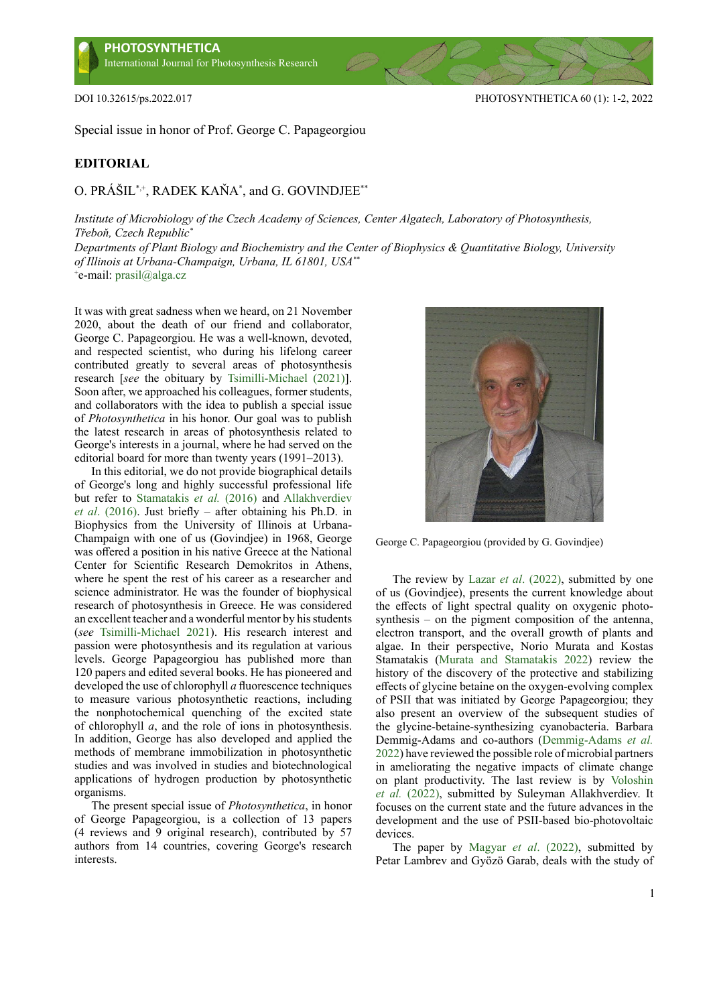

Special issue in honor of Prof. George C. Papageorgiou

## **EDITORIAL**

## O. PRÁŠIL\*,+, RADEK KAŇA\* , and G. GOVINDJEE\*\*

*Institute of Microbiology of the Czech Academy of Sciences, Center Algatech, Laboratory of Photosynthesis, Třeboň, Czech Republic\**

*Departments of Plant Biology and Biochemistry and the Center of Biophysics & Quantitative Biology, University of Illinois at Urbana-Champaign, Urbana, IL 61801, USA\*\** + e-mail: [prasil@alga.cz](mailto:prasil@alga.cz)

It was with great sadness when we heard, on 21 November 2020, about the death of our friend and collaborator, George C. Papageorgiou. He was a well-known, devoted, and respected scientist, who during his lifelong career contributed greatly to several areas of photosynthesis research [*see* the obituary by [Tsimilli-Michael \(2021\)\]](#page-1-0). Soon after, we approached his colleagues, former students, and collaborators with the idea to publish a special issue of *Photosynthetica* in his honor. Our goal was to publish the latest research in areas of photosynthesis related to George's interests in a journal, where he had served on the editorial board for more than twenty years (1991–2013).

In this editorial, we do not provide biographical details of George's long and highly successful professional life but refer to [Stamatakis](#page-1-1) *et al.* (2016) and [Allakhverdiev](#page-1-2)  *et al*[. \(2016\)](#page-1-2). Just briefly – after obtaining his Ph.D. in Biophysics from the University of Illinois at Urbana-Champaign with one of us (Govindjee) in 1968, George was offered a position in his native Greece at the National Center for Scientific Research Demokritos in Athens, where he spent the rest of his career as a researcher and science administrator. He was the founder of biophysical research of photosynthesis in Greece. He was considered an excellent teacher and a wonderful mentor by his students (*see* [Tsimilli-Michael 2021](#page-1-0)). His research interest and passion were photosynthesis and its regulation at various levels. George Papageorgiou has published more than 120 papers and edited several books. He has pioneered and developed the use of chlorophyll *a* fluorescence techniques to measure various photosynthetic reactions, including the nonphotochemical quenching of the excited state of chlorophyll *a*, and the role of ions in photosynthesis. In addition, George has also developed and applied the methods of membrane immobilization in photosynthetic studies and was involved in studies and biotechnological applications of hydrogen production by photosynthetic organisms.

The present special issue of *Photosynthetica*, in honor of George Papageorgiou, is a collection of 13 papers (4 reviews and 9 original research), contributed by 57 authors from 14 countries, covering George's research interests.



George C. Papageorgiou (provided by G. Govindjee)

The review by Lazar *et al*[. \(2022\),](#page-1-3) submitted by one of us (Govindjee), presents the current knowledge about the effects of light spectral quality on oxygenic photosynthesis – on the pigment composition of the antenna, electron transport, and the overall growth of plants and algae. In their perspective, Norio Murata and Kostas Stamatakis ([Murata and Stamatakis 2022\)](#page-1-4) review the history of the discovery of the protective and stabilizing effects of glycine betaine on the oxygen-evolving complex of PSII that was initiated by George Papageorgiou; they also present an overview of the subsequent studies of the glycine-betaine-synthesizing cyanobacteria. Barbara Demmig-Adams and co-authors [\(Demmig-Adams](#page-1-5) *et al.* [2022\)](#page-1-5) have reviewed the possible role of microbial partners in ameliorating the negative impacts of climate change on plant productivity. The last review is by [Voloshin](#page-1-6) *et al.* [\(2022\),](#page-1-6) submitted by Suleyman Allakhverdiev. It focuses on the current state and the future advances in the development and the use of PSII-based bio-photovoltaic devices.

The paper by Magyar *et al*[. \(2022\)](#page-1-7), submitted by Petar Lambrev and Gyözö Garab, deals with the study of